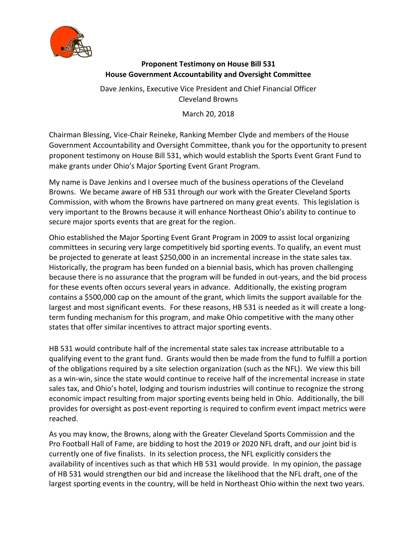

## **Proponent Testimony on House Bill 531 House Government Accountability and Oversight Committee**

Dave Jenkins, Executive Vice President and Chief Financial Officer Cleveland Browns

March 20, 2018

Chairman Blessing, Vice-Chair Reineke, Ranking Member Clyde and members of the House Government Accountability and Oversight Committee, thank you for the opportunity to present proponent testimony on House Bill 531, which would establish the Sports Event Grant Fund to make grants under Ohio's Major Sporting Event Grant Program.

My name is Dave Jenkins and I oversee much of the business operations of the Cleveland Browns. We became aware of HB 531 through our work with the Greater Cleveland Sports Commission, with whom the Browns have partnered on many great events. This legislation is very important to the Browns because it will enhance Northeast Ohio's ability to continue to secure major sports events that are great for the region.

Ohio established the Major Sporting Event Grant Program in 2009 to assist local organizing committees in securing very large competitively bid sporting events. To qualify, an event must be projected to generate at least \$250,000 in an incremental increase in the state sales tax. Historically, the program has been funded on a biennial basis, which has proven challenging because there is no assurance that the program will be funded in out-years, and the bid process for these events often occurs several years in advance. Additionally, the existing program contains a \$500,000 cap on the amount of the grant, which limits the support available for the largest and most significant events. For these reasons, HB 531 is needed as it will create a longterm funding mechanism for this program, and make Ohio competitive with the many other states that offer similar incentives to attract major sporting events.

HB 531 would contribute half of the incremental state sales tax increase attributable to a qualifying event to the grant fund. Grants would then be made from the fund to fulfill a portion of the obligations required by a site selection organization (such as the NFL). We view this bill as a win-win, since the state would continue to receive half of the incremental increase in state sales tax, and Ohio's hotel, lodging and tourism industries will continue to recognize the strong economic impact resulting from major sporting events being held in Ohio. Additionally, the bill provides for oversight as post-event reporting is required to confirm event impact metrics were reached.

As you may know, the Browns, along with the Greater Cleveland Sports Commission and the Pro Football Hall of Fame, are bidding to host the 2019 or 2020 NFL draft, and our joint bid is currently one of five finalists. In its selection process, the NFL explicitly considers the availability of incentives such as that which HB 531 would provide. In my opinion, the passage of HB 531 would strengthen our bid and increase the likelihood that the NFL draft, one of the largest sporting events in the country, will be held in Northeast Ohio within the next two years.